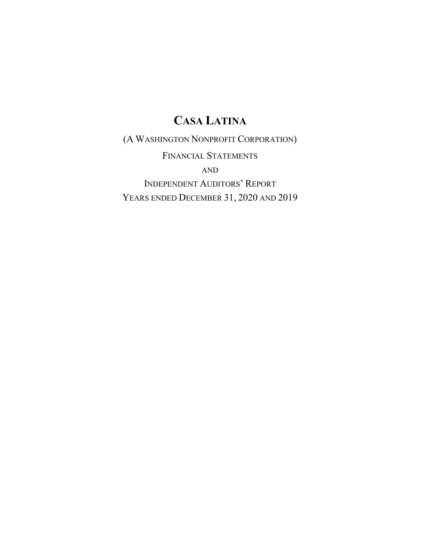(A WASHINGTON NONPROFIT CORPORATION)

FINANCIAL STATEMENTS AND INDEPENDENT AUDITORS' REPORT YEARS ENDED DECEMBER 31, 2020 AND 2019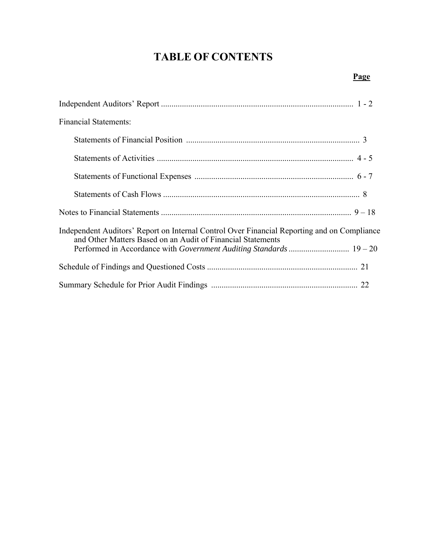## **TABLE OF CONTENTS**

| <b>Financial Statements:</b>                                                                                                                                                                                                      |
|-----------------------------------------------------------------------------------------------------------------------------------------------------------------------------------------------------------------------------------|
|                                                                                                                                                                                                                                   |
|                                                                                                                                                                                                                                   |
|                                                                                                                                                                                                                                   |
|                                                                                                                                                                                                                                   |
|                                                                                                                                                                                                                                   |
| Independent Auditors' Report on Internal Control Over Financial Reporting and on Compliance<br>and Other Matters Based on an Audit of Financial Statements<br>Performed in Accordance with Government Auditing Standards  19 - 20 |
|                                                                                                                                                                                                                                   |
|                                                                                                                                                                                                                                   |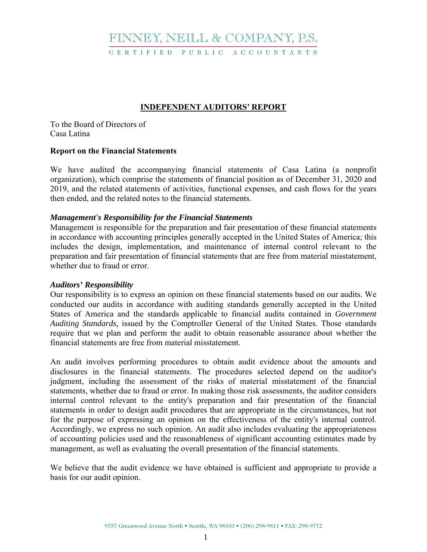## FINNEY, NEILL & COMPANY, P.S.

C E R T I F I E D P U B L I C A C C O U N T A N T S

### **INDEPENDENT AUDITORS' REPORT**

To the Board of Directors of Casa Latina

### **Report on the Financial Statements**

We have audited the accompanying financial statements of Casa Latina (a nonprofit organization), which comprise the statements of financial position as of December 31, 2020 and 2019, and the related statements of activities, functional expenses, and cash flows for the years then ended, and the related notes to the financial statements.

### *Management's Responsibility for the Financial Statements*

Management is responsible for the preparation and fair presentation of these financial statements in accordance with accounting principles generally accepted in the United States of America; this includes the design, implementation, and maintenance of internal control relevant to the preparation and fair presentation of financial statements that are free from material misstatement, whether due to fraud or error.

### *Auditors' Responsibility*

Our responsibility is to express an opinion on these financial statements based on our audits. We conducted our audits in accordance with auditing standards generally accepted in the United States of America and the standards applicable to financial audits contained in *Government Auditing Standards,* issued by the Comptroller General of the United States. Those standards require that we plan and perform the audit to obtain reasonable assurance about whether the financial statements are free from material misstatement.

An audit involves performing procedures to obtain audit evidence about the amounts and disclosures in the financial statements. The procedures selected depend on the auditor's judgment, including the assessment of the risks of material misstatement of the financial statements, whether due to fraud or error. In making those risk assessments, the auditor considers internal control relevant to the entity's preparation and fair presentation of the financial statements in order to design audit procedures that are appropriate in the circumstances, but not for the purpose of expressing an opinion on the effectiveness of the entity's internal control. Accordingly, we express no such opinion. An audit also includes evaluating the appropriateness of accounting policies used and the reasonableness of significant accounting estimates made by management, as well as evaluating the overall presentation of the financial statements.

We believe that the audit evidence we have obtained is sufficient and appropriate to provide a basis for our audit opinion.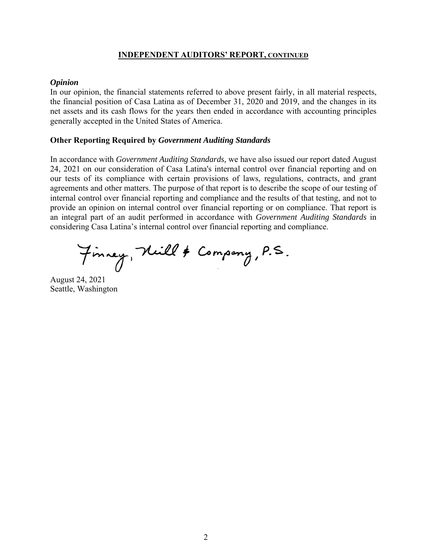### **INDEPENDENT AUDITORS' REPORT, CONTINUED**

#### *Opinion*

In our opinion, the financial statements referred to above present fairly, in all material respects, the financial position of Casa Latina as of December 31, 2020 and 2019, and the changes in its net assets and its cash flows for the years then ended in accordance with accounting principles generally accepted in the United States of America.

### **Other Reporting Required by** *Government Auditing Standards*

In accordance with *Government Auditing Standards,* we have also issued our report dated August 24, 2021 on our consideration of Casa Latina's internal control over financial reporting and on our tests of its compliance with certain provisions of laws, regulations, contracts, and grant agreements and other matters. The purpose of that report is to describe the scope of our testing of internal control over financial reporting and compliance and the results of that testing, and not to provide an opinion on internal control over financial reporting or on compliance. That report is an integral part of an audit performed in accordance with *Government Auditing Standards* in considering Casa Latina's internal control over financial reporting and compliance.

Finney, Nill & Company, P.S.

August 24, 2021 Seattle, Washington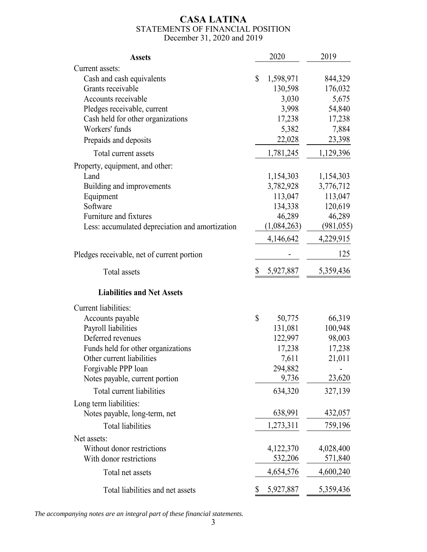### **CASA LATINA**  STATEMENTS OF FINANCIAL POSITION December 31, 2020 and 2019

| <b>Assets</b>                                   |                           | 2020        | 2019       |
|-------------------------------------------------|---------------------------|-------------|------------|
| Current assets:                                 |                           |             |            |
| Cash and cash equivalents                       | \$                        | 1,598,971   | 844,329    |
| Grants receivable                               |                           | 130,598     | 176,032    |
| Accounts receivable                             |                           | 3,030       | 5,675      |
| Pledges receivable, current                     |                           | 3,998       | 54,840     |
| Cash held for other organizations               |                           | 17,238      | 17,238     |
| Workers' funds                                  |                           | 5,382       | 7,884      |
| Prepaids and deposits                           |                           | 22,028      | 23,398     |
| Total current assets                            |                           | 1,781,245   | 1,129,396  |
| Property, equipment, and other:                 |                           |             |            |
| Land                                            |                           | 1,154,303   | 1,154,303  |
| Building and improvements                       |                           | 3,782,928   | 3,776,712  |
| Equipment                                       |                           | 113,047     | 113,047    |
| Software                                        |                           | 134,338     | 120,619    |
| Furniture and fixtures                          |                           | 46,289      | 46,289     |
| Less: accumulated depreciation and amortization |                           | (1,084,263) | (981, 055) |
|                                                 |                           | 4,146,642   | 4,229,915  |
| Pledges receivable, net of current portion      |                           |             | 125        |
| <b>Total</b> assets                             | \$                        | 5,927,887   | 5,359,436  |
| <b>Liabilities and Net Assets</b>               |                           |             |            |
| Current liabilities:                            |                           |             |            |
| Accounts payable                                | $\boldsymbol{\mathsf{S}}$ | 50,775      | 66,319     |
| Payroll liabilities                             |                           | 131,081     | 100,948    |
| Deferred revenues                               |                           | 122,997     | 98,003     |
| Funds held for other organizations              |                           | 17,238      | 17,238     |
| Other current liabilities                       |                           | 7,611       | 21,011     |
| Forgivable PPP loan                             |                           | 294,882     |            |
| Notes payable, current portion                  |                           | 9,736       | 23,620     |
| Total current liabilities                       |                           | 634,320     | 327,139    |
| Long term liabilities:                          |                           |             |            |
| Notes payable, long-term, net                   |                           | 638,991     | 432,057    |
| <b>Total liabilities</b>                        |                           | 1,273,311   | 759,196    |
| Net assets:                                     |                           |             |            |
| Without donor restrictions                      |                           | 4,122,370   | 4,028,400  |
| With donor restrictions                         |                           | 532,206     | 571,840    |
| Total net assets                                |                           | 4,654,576   | 4,600,240  |
| Total liabilities and net assets                | \$                        | 5,927,887   | 5,359,436  |

*The accompanying notes are an integral part of these financial statements.*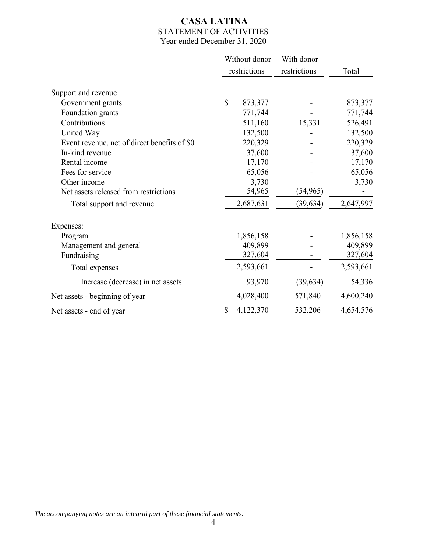### **CASA LATINA** STATEMENT OF ACTIVITIES Year ended December 31, 2020

|                                              | Without donor          | With donor   |           |
|----------------------------------------------|------------------------|--------------|-----------|
|                                              | restrictions           | restrictions | Total     |
| Support and revenue                          |                        |              |           |
| Government grants                            | $\mathbf S$<br>873,377 |              | 873,377   |
| Foundation grants                            | 771,744                |              | 771,744   |
| Contributions                                | 511,160                | 15,331       | 526,491   |
| United Way                                   | 132,500                |              | 132,500   |
| Event revenue, net of direct benefits of \$0 | 220,329                |              | 220,329   |
| In-kind revenue                              | 37,600                 |              | 37,600    |
| Rental income                                | 17,170                 |              | 17,170    |
| Fees for service                             | 65,056                 |              | 65,056    |
| Other income                                 | 3,730                  |              | 3,730     |
| Net assets released from restrictions        | 54,965                 | (54, 965)    |           |
| Total support and revenue                    | 2,687,631              | (39, 634)    | 2,647,997 |
| Expenses:                                    |                        |              |           |
| Program                                      | 1,856,158              |              | 1,856,158 |
| Management and general                       | 409,899                |              | 409,899   |
| Fundraising                                  | 327,604                |              | 327,604   |
| Total expenses                               | 2,593,661              |              | 2,593,661 |
| Increase (decrease) in net assets            | 93,970                 | (39, 634)    | 54,336    |
| Net assets - beginning of year               | 4,028,400              | 571,840      | 4,600,240 |
| Net assets - end of year                     | 4,122,370              | 532,206      | 4,654,576 |

*The accompanying notes are an integral part of these financial statements.*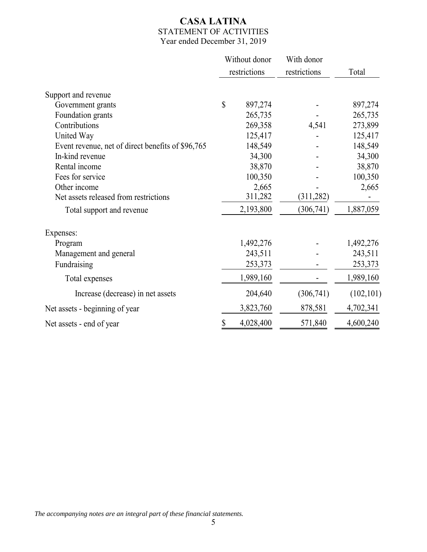### **CASA LATINA** STATEMENT OF ACTIVITIES Year ended December 31, 2019

|                                                   |              | Without donor | With donor   |            |
|---------------------------------------------------|--------------|---------------|--------------|------------|
|                                                   | restrictions |               | restrictions | Total      |
| Support and revenue                               |              |               |              |            |
| Government grants                                 | $\mathbb{S}$ | 897,274       |              | 897,274    |
| Foundation grants                                 |              | 265,735       |              | 265,735    |
| Contributions                                     |              | 269,358       | 4,541        | 273,899    |
| United Way                                        |              | 125,417       |              | 125,417    |
| Event revenue, net of direct benefits of \$96,765 |              | 148,549       |              | 148,549    |
| In-kind revenue                                   |              | 34,300        |              | 34,300     |
| Rental income                                     |              | 38,870        |              | 38,870     |
| Fees for service                                  |              | 100,350       |              | 100,350    |
| Other income                                      |              | 2,665         |              | 2,665      |
| Net assets released from restrictions             |              | 311,282       | (311, 282)   |            |
| Total support and revenue                         |              | 2,193,800     | (306, 741)   | 1,887,059  |
| Expenses:                                         |              |               |              |            |
| Program                                           |              | 1,492,276     |              | 1,492,276  |
| Management and general                            |              | 243,511       |              | 243,511    |
| Fundraising                                       |              | 253,373       |              | 253,373    |
| Total expenses                                    |              | 1,989,160     |              | 1,989,160  |
| Increase (decrease) in net assets                 |              | 204,640       | (306,741)    | (102, 101) |
| Net assets - beginning of year                    |              | 3,823,760     | 878,581      | 4,702,341  |
| Net assets - end of year                          | \$           | 4,028,400     | 571,840      | 4,600,240  |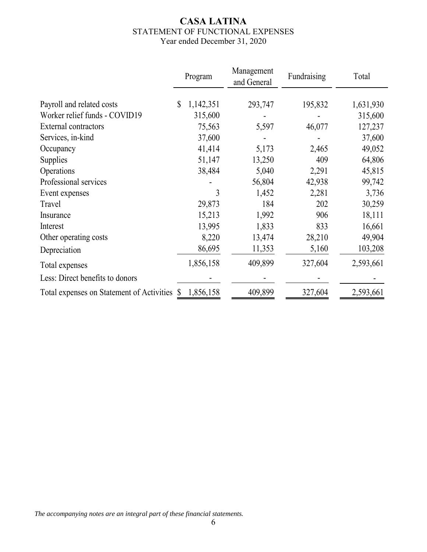### **CASA LATINA** STATEMENT OF FUNCTIONAL EXPENSES Year ended December 31, 2020

|                                              | Program         | Management<br>and General | Fundraising | Total     |
|----------------------------------------------|-----------------|---------------------------|-------------|-----------|
| Payroll and related costs                    | 1,142,351<br>\$ | 293,747                   | 195,832     | 1,631,930 |
| Worker relief funds - COVID19                | 315,600         |                           |             | 315,600   |
| External contractors                         | 75,563          | 5,597                     | 46,077      | 127,237   |
| Services, in-kind                            | 37,600          |                           |             | 37,600    |
| Occupancy                                    | 41,414          | 5,173                     | 2,465       | 49,052    |
| Supplies                                     | 51,147          | 13,250                    | 409         | 64,806    |
| Operations                                   | 38,484          | 5,040                     | 2,291       | 45,815    |
| Professional services                        |                 | 56,804                    | 42,938      | 99,742    |
| Event expenses                               | 3               | 1,452                     | 2,281       | 3,736     |
| Travel                                       | 29,873          | 184                       | 202         | 30,259    |
| Insurance                                    | 15,213          | 1,992                     | 906         | 18,111    |
| Interest                                     | 13,995          | 1,833                     | 833         | 16,661    |
| Other operating costs                        | 8,220           | 13,474                    | 28,210      | 49,904    |
| Depreciation                                 | 86,695          | 11,353                    | 5,160       | 103,208   |
| Total expenses                               | 1,856,158       | 409,899                   | 327,604     | 2,593,661 |
| Less: Direct benefits to donors              |                 |                           |             |           |
| Total expenses on Statement of Activities \$ | 1,856,158       | 409,899                   | 327,604     | 2,593,661 |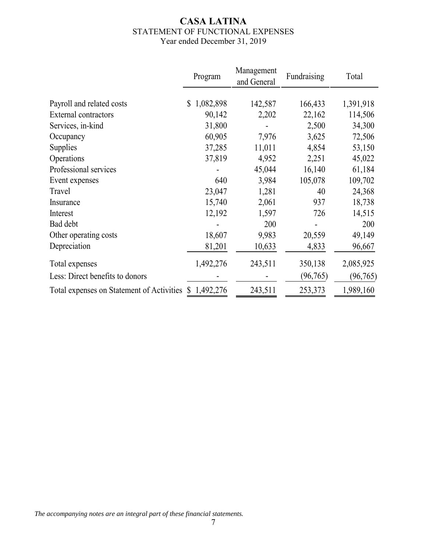### **CASA LATINA** STATEMENT OF FUNCTIONAL EXPENSES Year ended December 31, 2019

|                                                       | Program         | Management<br>and General | Fundraising | Total     |
|-------------------------------------------------------|-----------------|---------------------------|-------------|-----------|
|                                                       |                 |                           |             |           |
| Payroll and related costs                             | 1,082,898<br>\$ | 142,587                   | 166,433     | 1,391,918 |
| <b>External contractors</b>                           | 90,142          | 2,202                     | 22,162      | 114,506   |
| Services, in-kind                                     | 31,800          |                           | 2,500       | 34,300    |
| Occupancy                                             | 60,905          | 7,976                     | 3,625       | 72,506    |
| Supplies                                              | 37,285          | 11,011                    | 4,854       | 53,150    |
| Operations                                            | 37,819          | 4,952                     | 2,251       | 45,022    |
| Professional services                                 |                 | 45,044                    | 16,140      | 61,184    |
| Event expenses                                        | 640             | 3,984                     | 105,078     | 109,702   |
| Travel                                                | 23,047          | 1,281                     | 40          | 24,368    |
| Insurance                                             | 15,740          | 2,061                     | 937         | 18,738    |
| Interest                                              | 12,192          | 1,597                     | 726         | 14,515    |
| Bad debt                                              |                 | 200                       |             | 200       |
| Other operating costs                                 | 18,607          | 9,983                     | 20,559      | 49,149    |
| Depreciation                                          | 81,201          | 10,633                    | 4,833       | 96,667    |
| Total expenses                                        | 1,492,276       | 243,511                   | 350,138     | 2,085,925 |
| Less: Direct benefits to donors                       |                 |                           | (96, 765)   | (96, 765) |
| Total expenses on Statement of Activities \$1,492,276 |                 | 243,511                   | 253,373     | 1,989,160 |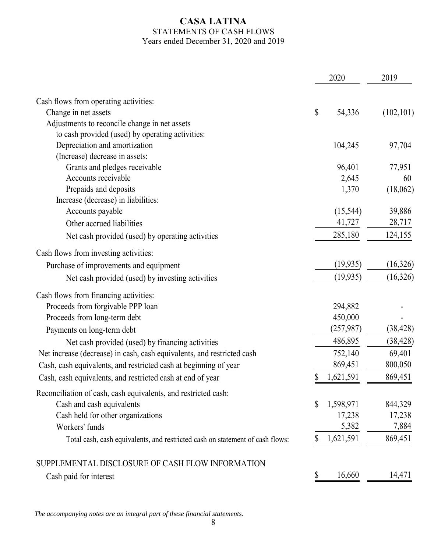### **CASA LATINA** STATEMENTS OF CASH FLOWS Years ended December 31, 2020 and 2019

|                                                                               |    | 2020      | 2019       |
|-------------------------------------------------------------------------------|----|-----------|------------|
| Cash flows from operating activities:                                         |    |           |            |
| Change in net assets                                                          | \$ | 54,336    | (102, 101) |
| Adjustments to reconcile change in net assets                                 |    |           |            |
| to cash provided (used) by operating activities:                              |    |           |            |
| Depreciation and amortization                                                 |    | 104,245   | 97,704     |
| (Increase) decrease in assets:                                                |    |           |            |
| Grants and pledges receivable                                                 |    | 96,401    | 77,951     |
| Accounts receivable                                                           |    | 2,645     | 60         |
| Prepaids and deposits                                                         |    | 1,370     | (18,062)   |
| Increase (decrease) in liabilities:                                           |    |           |            |
| Accounts payable                                                              |    | (15, 544) | 39,886     |
| Other accrued liabilities                                                     |    | 41,727    | 28,717     |
| Net cash provided (used) by operating activities                              |    | 285,180   | 124,155    |
| Cash flows from investing activities:                                         |    |           |            |
| Purchase of improvements and equipment                                        |    | (19, 935) | (16,326)   |
| Net cash provided (used) by investing activities                              |    | (19, 935) | (16,326)   |
| Cash flows from financing activities:                                         |    |           |            |
| Proceeds from forgivable PPP loan                                             |    | 294,882   |            |
| Proceeds from long-term debt                                                  |    | 450,000   |            |
| Payments on long-term debt                                                    |    | (257,987) | (38, 428)  |
| Net cash provided (used) by financing activities                              |    | 486,895   | (38, 428)  |
| Net increase (decrease) in cash, cash equivalents, and restricted cash        |    | 752,140   | 69,401     |
| Cash, cash equivalents, and restricted cash at beginning of year              |    | 869,451   | 800,050    |
| Cash, cash equivalents, and restricted cash at end of year                    | S  | 1,621,591 | 869,451    |
| Reconciliation of cash, cash equivalents, and restricted cash:                |    |           |            |
| Cash and cash equivalents                                                     | \$ | 1,598,971 | 844,329    |
| Cash held for other organizations                                             |    | 17,238    | 17,238     |
| Workers' funds                                                                |    | 5,382     | 7,884      |
| Total cash, cash equivalents, and restricted cash on statement of cash flows: |    | 1,621,591 | 869,451    |
| SUPPLEMENTAL DISCLOSURE OF CASH FLOW INFORMATION                              |    |           |            |
| Cash paid for interest                                                        | \$ | 16,660    | 14,471     |

*The accompanying notes are an integral part of these financial statements.*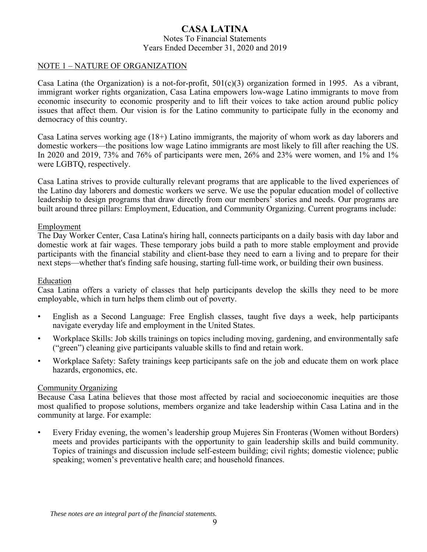### **CASA LATINA** Notes To Financial Statements Years Ended December 31, 2020 and 2019

### NOTE 1 – NATURE OF ORGANIZATION

Casa Latina (the Organization) is a not-for-profit,  $501(c)(3)$  organization formed in 1995. As a vibrant, immigrant worker rights organization, Casa Latina empowers low-wage Latino immigrants to move from economic insecurity to economic prosperity and to lift their voices to take action around public policy issues that affect them. Our vision is for the Latino community to participate fully in the economy and democracy of this country.

Casa Latina serves working age (18+) Latino immigrants, the majority of whom work as day laborers and domestic workers—the positions low wage Latino immigrants are most likely to fill after reaching the US. In 2020 and 2019, 73% and 76% of participants were men, 26% and 23% were women, and 1% and 1% were LGBTQ, respectively.

Casa Latina strives to provide culturally relevant programs that are applicable to the lived experiences of the Latino day laborers and domestic workers we serve. We use the popular education model of collective leadership to design programs that draw directly from our members' stories and needs. Our programs are built around three pillars: Employment, Education, and Community Organizing. Current programs include:

### Employment

The Day Worker Center, Casa Latina's hiring hall, connects participants on a daily basis with day labor and domestic work at fair wages. These temporary jobs build a path to more stable employment and provide participants with the financial stability and client-base they need to earn a living and to prepare for their next steps—whether that's finding safe housing, starting full-time work, or building their own business.

#### Education

Casa Latina offers a variety of classes that help participants develop the skills they need to be more employable, which in turn helps them climb out of poverty.

- English as a Second Language: Free English classes, taught five days a week, help participants navigate everyday life and employment in the United States.
- Workplace Skills: Job skills trainings on topics including moving, gardening, and environmentally safe ("green") cleaning give participants valuable skills to find and retain work.
- Workplace Safety: Safety trainings keep participants safe on the job and educate them on work place hazards, ergonomics, etc.

#### Community Organizing

Because Casa Latina believes that those most affected by racial and socioeconomic inequities are those most qualified to propose solutions, members organize and take leadership within Casa Latina and in the community at large. For example:

• Every Friday evening, the women's leadership group Mujeres Sin Fronteras (Women without Borders) meets and provides participants with the opportunity to gain leadership skills and build community. Topics of trainings and discussion include self-esteem building; civil rights; domestic violence; public speaking; women's preventative health care; and household finances.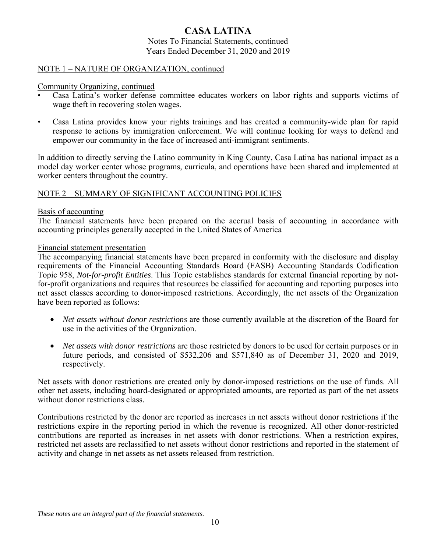Notes To Financial Statements, continued Years Ended December 31, 2020 and 2019

### NOTE 1 – NATURE OF ORGANIZATION, continued

Community Organizing, continued

- Casa Latina's worker defense committee educates workers on labor rights and supports victims of wage theft in recovering stolen wages.
- Casa Latina provides know your rights trainings and has created a community-wide plan for rapid response to actions by immigration enforcement. We will continue looking for ways to defend and empower our community in the face of increased anti-immigrant sentiments.

In addition to directly serving the Latino community in King County, Casa Latina has national impact as a model day worker center whose programs, curricula, and operations have been shared and implemented at worker centers throughout the country.

### NOTE 2 – SUMMARY OF SIGNIFICANT ACCOUNTING POLICIES

#### Basis of accounting

The financial statements have been prepared on the accrual basis of accounting in accordance with accounting principles generally accepted in the United States of America

### Financial statement presentation

The accompanying financial statements have been prepared in conformity with the disclosure and display requirements of the Financial Accounting Standards Board (FASB) Accounting Standards Codification Topic 958, *Not-for-profit Entities*. This Topic establishes standards for external financial reporting by notfor-profit organizations and requires that resources be classified for accounting and reporting purposes into net asset classes according to donor-imposed restrictions. Accordingly, the net assets of the Organization have been reported as follows:

- *Net assets without donor restrictions* are those currently available at the discretion of the Board for use in the activities of the Organization.
- *Net assets with donor restrictions* are those restricted by donors to be used for certain purposes or in future periods, and consisted of \$532,206 and \$571,840 as of December 31, 2020 and 2019, respectively.

Net assets with donor restrictions are created only by donor-imposed restrictions on the use of funds. All other net assets, including board-designated or appropriated amounts, are reported as part of the net assets without donor restrictions class.

Contributions restricted by the donor are reported as increases in net assets without donor restrictions if the restrictions expire in the reporting period in which the revenue is recognized. All other donor-restricted contributions are reported as increases in net assets with donor restrictions. When a restriction expires, restricted net assets are reclassified to net assets without donor restrictions and reported in the statement of activity and change in net assets as net assets released from restriction.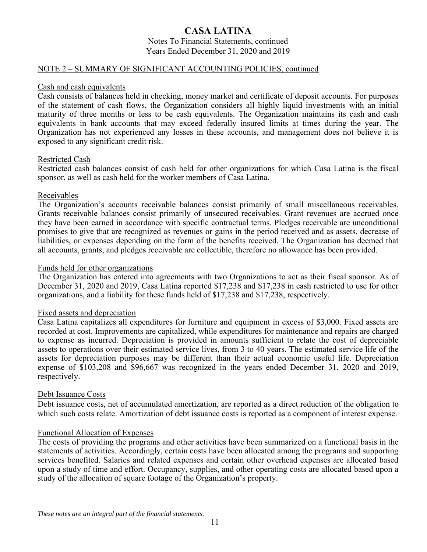Notes To Financial Statements, continued Years Ended December 31, 2020 and 2019

### NOTE 2 – SUMMARY OF SIGNIFICANT ACCOUNTING POLICIES, continued

#### Cash and cash equivalents

Cash consists of balances held in checking, money market and certificate of deposit accounts. For purposes of the statement of cash flows, the Organization considers all highly liquid investments with an initial maturity of three months or less to be cash equivalents. The Organization maintains its cash and cash equivalents in bank accounts that may exceed federally insured limits at times during the year. The Organization has not experienced any losses in these accounts, and management does not believe it is exposed to any significant credit risk.

### Restricted Cash

Restricted cash balances consist of cash held for other organizations for which Casa Latina is the fiscal sponsor, as well as cash held for the worker members of Casa Latina.

### Receivables

The Organization's accounts receivable balances consist primarily of small miscellaneous receivables. Grants receivable balances consist primarily of unsecured receivables. Grant revenues are accrued once they have been earned in accordance with specific contractual terms. Pledges receivable are unconditional promises to give that are recognized as revenues or gains in the period received and as assets, decrease of liabilities, or expenses depending on the form of the benefits received. The Organization has deemed that all accounts, grants, and pledges receivable are collectible, therefore no allowance has been provided.

### Funds held for other organizations

The Organization has entered into agreements with two Organizations to act as their fiscal sponsor. As of December 31, 2020 and 2019, Casa Latina reported \$17,238 and \$17,238 in cash restricted to use for other organizations, and a liability for these funds held of \$17,238 and \$17,238, respectively.

#### Fixed assets and depreciation

Casa Latina capitalizes all expenditures for furniture and equipment in excess of \$3,000. Fixed assets are recorded at cost. Improvements are capitalized, while expenditures for maintenance and repairs are charged to expense as incurred. Depreciation is provided in amounts sufficient to relate the cost of depreciable assets to operations over their estimated service lives, from 3 to 40 years. The estimated service life of the assets for depreciation purposes may be different than their actual economic useful life. Depreciation expense of \$103,208 and \$96,667 was recognized in the years ended December 31, 2020 and 2019, respectively.

### Debt Issuance Costs

Debt issuance costs, net of accumulated amortization, are reported as a direct reduction of the obligation to which such costs relate. Amortization of debt issuance costs is reported as a component of interest expense.

### Functional Allocation of Expenses

The costs of providing the programs and other activities have been summarized on a functional basis in the statements of activities. Accordingly, certain costs have been allocated among the programs and supporting services benefited. Salaries and related expenses and certain other overhead expenses are allocated based upon a study of time and effort. Occupancy, supplies, and other operating costs are allocated based upon a study of the allocation of square footage of the Organization's property.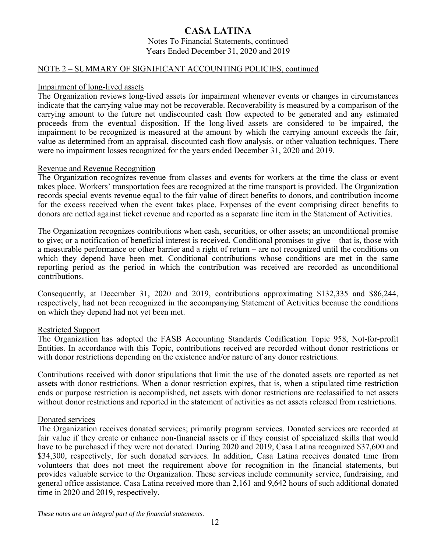Notes To Financial Statements, continued Years Ended December 31, 2020 and 2019

### NOTE 2 – SUMMARY OF SIGNIFICANT ACCOUNTING POLICIES, continued

#### Impairment of long-lived assets

The Organization reviews long-lived assets for impairment whenever events or changes in circumstances indicate that the carrying value may not be recoverable. Recoverability is measured by a comparison of the carrying amount to the future net undiscounted cash flow expected to be generated and any estimated proceeds from the eventual disposition. If the long-lived assets are considered to be impaired, the impairment to be recognized is measured at the amount by which the carrying amount exceeds the fair, value as determined from an appraisal, discounted cash flow analysis, or other valuation techniques. There were no impairment losses recognized for the years ended December 31, 2020 and 2019.

### Revenue and Revenue Recognition

The Organization recognizes revenue from classes and events for workers at the time the class or event takes place. Workers' transportation fees are recognized at the time transport is provided. The Organization records special events revenue equal to the fair value of direct benefits to donors, and contribution income for the excess received when the event takes place. Expenses of the event comprising direct benefits to donors are netted against ticket revenue and reported as a separate line item in the Statement of Activities.

The Organization recognizes contributions when cash, securities, or other assets; an unconditional promise to give; or a notification of beneficial interest is received. Conditional promises to give – that is, those with a measurable performance or other barrier and a right of return – are not recognized until the conditions on which they depend have been met. Conditional contributions whose conditions are met in the same reporting period as the period in which the contribution was received are recorded as unconditional contributions.

Consequently, at December 31, 2020 and 2019, contributions approximating \$132,335 and \$86,244, respectively, had not been recognized in the accompanying Statement of Activities because the conditions on which they depend had not yet been met.

### Restricted Support

The Organization has adopted the FASB Accounting Standards Codification Topic 958, Not-for-profit Entities. In accordance with this Topic, contributions received are recorded without donor restrictions or with donor restrictions depending on the existence and/or nature of any donor restrictions.

Contributions received with donor stipulations that limit the use of the donated assets are reported as net assets with donor restrictions. When a donor restriction expires, that is, when a stipulated time restriction ends or purpose restriction is accomplished, net assets with donor restrictions are reclassified to net assets without donor restrictions and reported in the statement of activities as net assets released from restrictions.

### Donated services

The Organization receives donated services; primarily program services. Donated services are recorded at fair value if they create or enhance non-financial assets or if they consist of specialized skills that would have to be purchased if they were not donated. During 2020 and 2019, Casa Latina recognized \$37,600 and \$34,300, respectively, for such donated services. In addition, Casa Latina receives donated time from volunteers that does not meet the requirement above for recognition in the financial statements, but provides valuable service to the Organization. These services include community service, fundraising, and general office assistance. Casa Latina received more than 2,161 and 9,642 hours of such additional donated time in 2020 and 2019, respectively.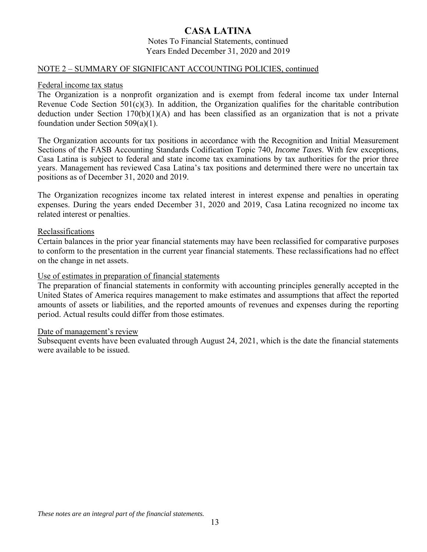#### Notes To Financial Statements, continued Years Ended December 31, 2020 and 2019

### NOTE 2 – SUMMARY OF SIGNIFICANT ACCOUNTING POLICIES, continued

### Federal income tax status

The Organization is a nonprofit organization and is exempt from federal income tax under Internal Revenue Code Section 501(c)(3). In addition, the Organization qualifies for the charitable contribution deduction under Section 170(b)(1)(A) and has been classified as an organization that is not a private foundation under Section 509(a)(1).

The Organization accounts for tax positions in accordance with the Recognition and Initial Measurement Sections of the FASB Accounting Standards Codification Topic 740, *Income Taxes*. With few exceptions, Casa Latina is subject to federal and state income tax examinations by tax authorities for the prior three years. Management has reviewed Casa Latina's tax positions and determined there were no uncertain tax positions as of December 31, 2020 and 2019.

The Organization recognizes income tax related interest in interest expense and penalties in operating expenses. During the years ended December 31, 2020 and 2019, Casa Latina recognized no income tax related interest or penalties.

### Reclassifications

Certain balances in the prior year financial statements may have been reclassified for comparative purposes to conform to the presentation in the current year financial statements. These reclassifications had no effect on the change in net assets.

### Use of estimates in preparation of financial statements

The preparation of financial statements in conformity with accounting principles generally accepted in the United States of America requires management to make estimates and assumptions that affect the reported amounts of assets or liabilities, and the reported amounts of revenues and expenses during the reporting period. Actual results could differ from those estimates.

#### Date of management's review

Subsequent events have been evaluated through August 24, 2021, which is the date the financial statements were available to be issued.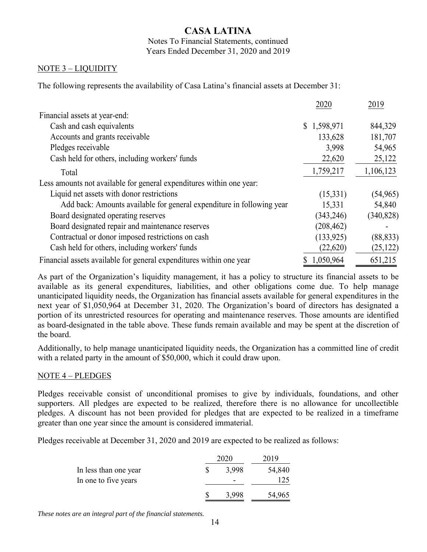Notes To Financial Statements, continued Years Ended December 31, 2020 and 2019

### NOTE 3 – LIQUIDITY

The following represents the availability of Casa Latina's financial assets at December 31:

|                                                                       | 2020        | 2019       |
|-----------------------------------------------------------------------|-------------|------------|
| Financial assets at year-end:                                         |             |            |
| Cash and cash equivalents                                             | \$1,598,971 | 844,329    |
| Accounts and grants receivable                                        | 133,628     | 181,707    |
| Pledges receivable                                                    | 3,998       | 54,965     |
| Cash held for others, including workers' funds                        | 22,620      | 25,122     |
| Total                                                                 | 1,759,217   | 1,106,123  |
| Less amounts not available for general expenditures within one year:  |             |            |
| Liquid net assets with donor restrictions                             | (15,331)    | (54, 965)  |
| Add back: Amounts available for general expenditure in following year | 15,331      | 54,840     |
| Board designated operating reserves                                   | (343, 246)  | (340, 828) |
| Board designated repair and maintenance reserves                      | (208, 462)  |            |
| Contractual or donor imposed restrictions on cash                     | (133, 925)  | (88, 833)  |
| Cash held for others, including workers' funds                        | (22,620)    | (25, 122)  |
| Financial assets available for general expenditures within one year   | \$1,050,964 | 651,215    |

As part of the Organization's liquidity management, it has a policy to structure its financial assets to be available as its general expenditures, liabilities, and other obligations come due. To help manage unanticipated liquidity needs, the Organization has financial assets available for general expenditures in the next year of \$1,050,964 at December 31, 2020. The Organization's board of directors has designated a portion of its unrestricted resources for operating and maintenance reserves. Those amounts are identified as board-designated in the table above. These funds remain available and may be spent at the discretion of the board.

Additionally, to help manage unanticipated liquidity needs, the Organization has a committed line of credit with a related party in the amount of \$50,000, which it could draw upon.

### NOTE 4 – PLEDGES

Pledges receivable consist of unconditional promises to give by individuals, foundations, and other supporters. All pledges are expected to be realized, therefore there is no allowance for uncollectible pledges. A discount has not been provided for pledges that are expected to be realized in a timeframe greater than one year since the amount is considered immaterial.

Pledges receivable at December 31, 2020 and 2019 are expected to be realized as follows:

|                       | 2020  |        |  |
|-----------------------|-------|--------|--|
| In less than one year | 3.998 | 54,840 |  |
| In one to five years  | -     | 125    |  |
|                       | 3,998 | 54,965 |  |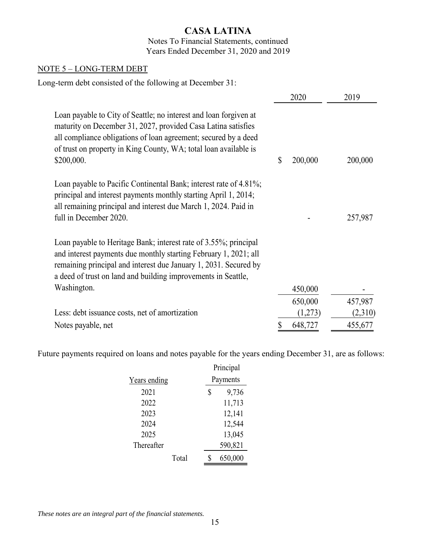### Notes To Financial Statements, continued Years Ended December 31, 2020 and 2019

### NOTE 5 – LONG-TERM DEBT

Long-term debt consisted of the following at December 31:

|                                                                                                                                                                                                                                                                                         | 2020          | 2019    |
|-----------------------------------------------------------------------------------------------------------------------------------------------------------------------------------------------------------------------------------------------------------------------------------------|---------------|---------|
| Loan payable to City of Seattle; no interest and loan forgiven at<br>maturity on December 31, 2027, provided Casa Latina satisfies<br>all compliance obligations of loan agreement; secured by a deed<br>of trust on property in King County, WA; total loan available is<br>\$200,000. | 200,000<br>\$ | 200,000 |
| Loan payable to Pacific Continental Bank; interest rate of 4.81%;<br>principal and interest payments monthly starting April 1, 2014;<br>all remaining principal and interest due March 1, 2024. Paid in<br>full in December 2020.                                                       |               | 257,987 |
| Loan payable to Heritage Bank; interest rate of 3.55%; principal<br>and interest payments due monthly starting February 1, 2021; all<br>remaining principal and interest due January 1, 2031. Secured by<br>a deed of trust on land and building improvements in Seattle,               |               |         |
| Washington.                                                                                                                                                                                                                                                                             | 450,000       |         |
|                                                                                                                                                                                                                                                                                         | 650,000       | 457,987 |
| Less: debt issuance costs, net of amortization                                                                                                                                                                                                                                          | (1,273)       | (2,310) |
| Notes payable, net                                                                                                                                                                                                                                                                      | 648,727       | 455,677 |

Future payments required on loans and notes payable for the years ending December 31, are as follows:

|              |       | Principal |         |  |
|--------------|-------|-----------|---------|--|
| Years ending |       | Payments  |         |  |
| 2021         |       | \$        | 9,736   |  |
| 2022         |       |           | 11,713  |  |
| 2023         |       |           | 12,141  |  |
| 2024         |       | 12,544    |         |  |
| 2025         |       |           | 13,045  |  |
| Thereafter   |       |           | 590,821 |  |
|              | Total |           | 650,000 |  |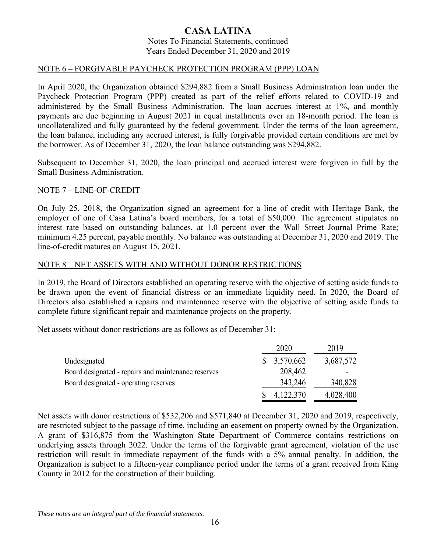#### Notes To Financial Statements, continued Years Ended December 31, 2020 and 2019

### NOTE 6 – FORGIVABLE PAYCHECK PROTECTION PROGRAM (PPP) LOAN

In April 2020, the Organization obtained \$294,882 from a Small Business Administration loan under the Paycheck Protection Program (PPP) created as part of the relief efforts related to COVID-19 and administered by the Small Business Administration. The loan accrues interest at 1%, and monthly payments are due beginning in August 2021 in equal installments over an 18-month period. The loan is uncollateralized and fully guaranteed by the federal government. Under the terms of the loan agreement, the loan balance, including any accrued interest, is fully forgivable provided certain conditions are met by the borrower. As of December 31, 2020, the loan balance outstanding was \$294,882.

Subsequent to December 31, 2020, the loan principal and accrued interest were forgiven in full by the Small Business Administration.

### NOTE 7 – LINE-OF-CREDIT

On July 25, 2018, the Organization signed an agreement for a line of credit with Heritage Bank, the employer of one of Casa Latina's board members, for a total of \$50,000. The agreement stipulates an interest rate based on outstanding balances, at 1.0 percent over the Wall Street Journal Prime Rate; minimum 4.25 percent, payable monthly. No balance was outstanding at December 31, 2020 and 2019. The line-of-credit matures on August 15, 2021.

### NOTE 8 – NET ASSETS WITH AND WITHOUT DONOR RESTRICTIONS

In 2019, the Board of Directors established an operating reserve with the objective of setting aside funds to be drawn upon the event of financial distress or an immediate liquidity need. In 2020, the Board of Directors also established a repairs and maintenance reserve with the objective of setting aside funds to complete future significant repair and maintenance projects on the property.

Net assets without donor restrictions are as follows as of December 31:

|                                                     | 2020        | 2019      |
|-----------------------------------------------------|-------------|-----------|
| Undesignated                                        | \$3,570,662 | 3,687,572 |
| Board designated - repairs and maintenance reserves | 208,462     |           |
| Board designated - operating reserves               | 343,246     | 340,828   |
|                                                     | 4,122,370   | 4,028,400 |

Net assets with donor restrictions of \$532,206 and \$571,840 at December 31, 2020 and 2019, respectively, are restricted subject to the passage of time, including an easement on property owned by the Organization. A grant of \$316,875 from the Washington State Department of Commerce contains restrictions on underlying assets through 2022. Under the terms of the forgivable grant agreement, violation of the use restriction will result in immediate repayment of the funds with a 5% annual penalty. In addition, the Organization is subject to a fifteen-year compliance period under the terms of a grant received from King County in 2012 for the construction of their building.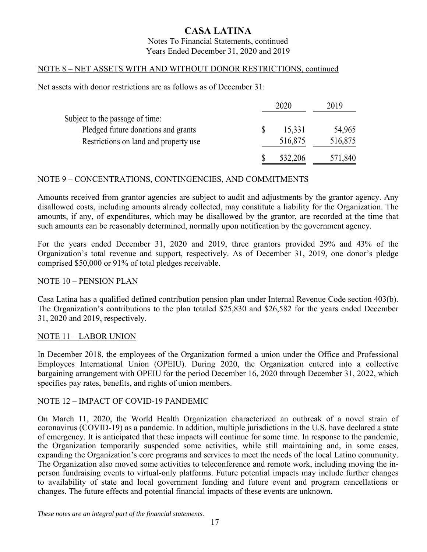### Notes To Financial Statements, continued Years Ended December 31, 2020 and 2019

### NOTE 8 – NET ASSETS WITH AND WITHOUT DONOR RESTRICTIONS, continued

Net assets with donor restrictions are as follows as of December 31:

|                                       | 2020 |         | 2019    |
|---------------------------------------|------|---------|---------|
| Subject to the passage of time:       |      |         |         |
| Pledged future donations and grants   |      | 15,331  | 54,965  |
| Restrictions on land and property use |      | 516,875 | 516,875 |
|                                       |      | 532,206 | 571,840 |

### NOTE 9 – CONCENTRATIONS, CONTINGENCIES, AND COMMITMENTS

Amounts received from grantor agencies are subject to audit and adjustments by the grantor agency. Any disallowed costs, including amounts already collected, may constitute a liability for the Organization. The amounts, if any, of expenditures, which may be disallowed by the grantor, are recorded at the time that such amounts can be reasonably determined, normally upon notification by the government agency.

For the years ended December 31, 2020 and 2019, three grantors provided 29% and 43% of the Organization's total revenue and support, respectively. As of December 31, 2019, one donor's pledge comprised \$50,000 or 91% of total pledges receivable.

### NOTE 10 – PENSION PLAN

Casa Latina has a qualified defined contribution pension plan under Internal Revenue Code section 403(b). The Organization's contributions to the plan totaled \$25,830 and \$26,582 for the years ended December 31, 2020 and 2019, respectively.

### NOTE 11 – LABOR UNION

In December 2018, the employees of the Organization formed a union under the Office and Professional Employees International Union (OPEIU). During 2020, the Organization entered into a collective bargaining arrangement with OPEIU for the period December 16, 2020 through December 31, 2022, which specifies pay rates, benefits, and rights of union members.

### NOTE 12 – IMPACT OF COVID-19 PANDEMIC

On March 11, 2020, the World Health Organization characterized an outbreak of a novel strain of coronavirus (COVID-19) as a pandemic. In addition, multiple jurisdictions in the U.S. have declared a state of emergency. It is anticipated that these impacts will continue for some time. In response to the pandemic, the Organization temporarily suspended some activities, while still maintaining and, in some cases, expanding the Organization's core programs and services to meet the needs of the local Latino community. The Organization also moved some activities to teleconference and remote work, including moving the inperson fundraising events to virtual-only platforms. Future potential impacts may include further changes to availability of state and local government funding and future event and program cancellations or changes. The future effects and potential financial impacts of these events are unknown.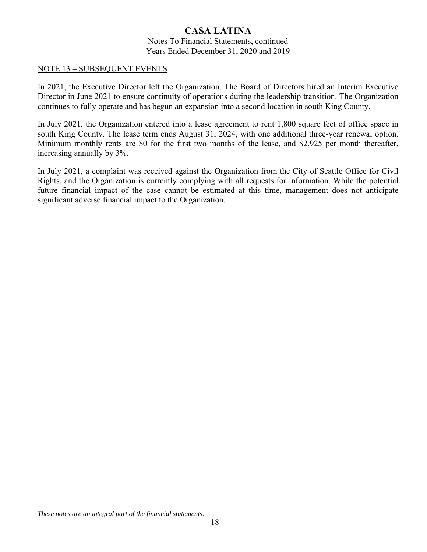Notes To Financial Statements, continued Years Ended December 31, 2020 and 2019

### NOTE 13 – SUBSEQUENT EVENTS

In 2021, the Executive Director left the Organization. The Board of Directors hired an Interim Executive Director in June 2021 to ensure continuity of operations during the leadership transition. The Organization continues to fully operate and has begun an expansion into a second location in south King County.

In July 2021, the Organization entered into a lease agreement to rent 1,800 square feet of office space in south King County. The lease term ends August 31, 2024, with one additional three-year renewal option. Minimum monthly rents are \$0 for the first two months of the lease, and \$2,925 per month thereafter, increasing annually by 3%.

In July 2021, a complaint was received against the Organization from the City of Seattle Office for Civil Rights, and the Organization is currently complying with all requests for information. While the potential future financial impact of the case cannot be estimated at this time, management does not anticipate significant adverse financial impact to the Organization.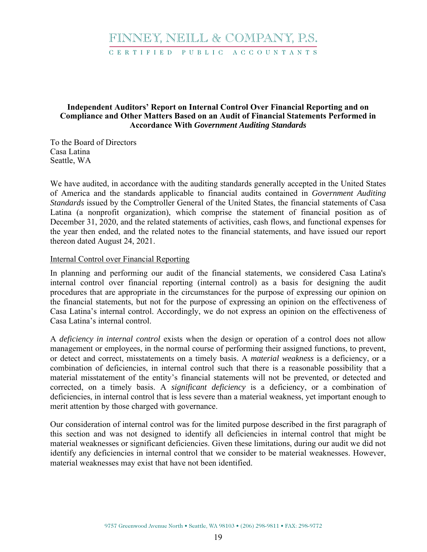# FINNEY, NEILL & COMPANY, P.S.

C E R T I F I E D P U B L I C A C C O U N T A N T S

### **Independent Auditors' Report on Internal Control Over Financial Reporting and on Compliance and Other Matters Based on an Audit of Financial Statements Performed in Accordance With** *Government Auditing Standards*

To the Board of Directors Casa Latina Seattle, WA

We have audited, in accordance with the auditing standards generally accepted in the United States of America and the standards applicable to financial audits contained in *Government Auditing Standards* issued by the Comptroller General of the United States, the financial statements of Casa Latina (a nonprofit organization), which comprise the statement of financial position as of December 31, 2020, and the related statements of activities, cash flows, and functional expenses for the year then ended, and the related notes to the financial statements, and have issued our report thereon dated August 24, 2021.

### Internal Control over Financial Reporting

In planning and performing our audit of the financial statements, we considered Casa Latina's internal control over financial reporting (internal control) as a basis for designing the audit procedures that are appropriate in the circumstances for the purpose of expressing our opinion on the financial statements, but not for the purpose of expressing an opinion on the effectiveness of Casa Latina's internal control. Accordingly, we do not express an opinion on the effectiveness of Casa Latina's internal control.

A *deficiency in internal control* exists when the design or operation of a control does not allow management or employees, in the normal course of performing their assigned functions, to prevent, or detect and correct, misstatements on a timely basis. A *material weakness* is a deficiency, or a combination of deficiencies, in internal control such that there is a reasonable possibility that a material misstatement of the entity's financial statements will not be prevented, or detected and corrected, on a timely basis. A *significant deficiency* is a deficiency, or a combination of deficiencies, in internal control that is less severe than a material weakness, yet important enough to merit attention by those charged with governance.

Our consideration of internal control was for the limited purpose described in the first paragraph of this section and was not designed to identify all deficiencies in internal control that might be material weaknesses or significant deficiencies. Given these limitations, during our audit we did not identify any deficiencies in internal control that we consider to be material weaknesses. However, material weaknesses may exist that have not been identified.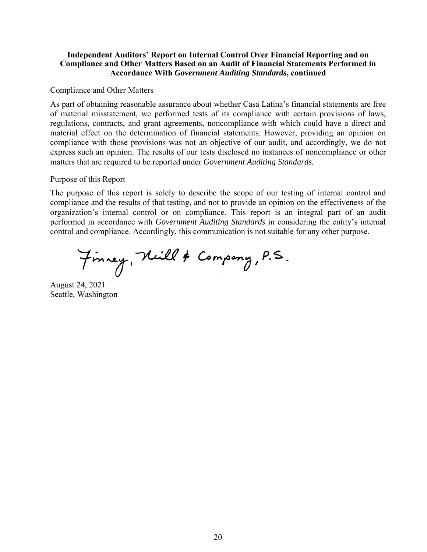### **Independent Auditors' Report on Internal Control Over Financial Reporting and on Compliance and Other Matters Based on an Audit of Financial Statements Performed in Accordance With** *Government Auditing Standards***, continued**

### Compliance and Other Matters

As part of obtaining reasonable assurance about whether Casa Latina's financial statements are free of material misstatement, we performed tests of its compliance with certain provisions of laws, regulations, contracts, and grant agreements, noncompliance with which could have a direct and material effect on the determination of financial statements. However, providing an opinion on compliance with those provisions was not an objective of our audit, and accordingly, we do not express such an opinion. The results of our tests disclosed no instances of noncompliance or other matters that are required to be reported under *Government Auditing Standards.*

### Purpose of this Report

The purpose of this report is solely to describe the scope of our testing of internal control and compliance and the results of that testing, and not to provide an opinion on the effectiveness of the organization's internal control or on compliance. This report is an integral part of an audit performed in accordance with *Government Auditing Standards* in considering the entity's internal control and compliance. Accordingly, this communication is not suitable for any other purpose.

Finney, Neill & Company, P.S.

August 24, 2021 Seattle, Washington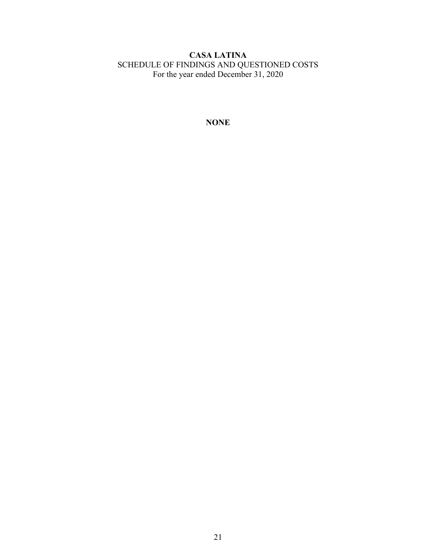### **CASA LATINA** SCHEDULE OF FINDINGS AND QUESTIONED COSTS For the year ended December 31, 2020

**NONE**